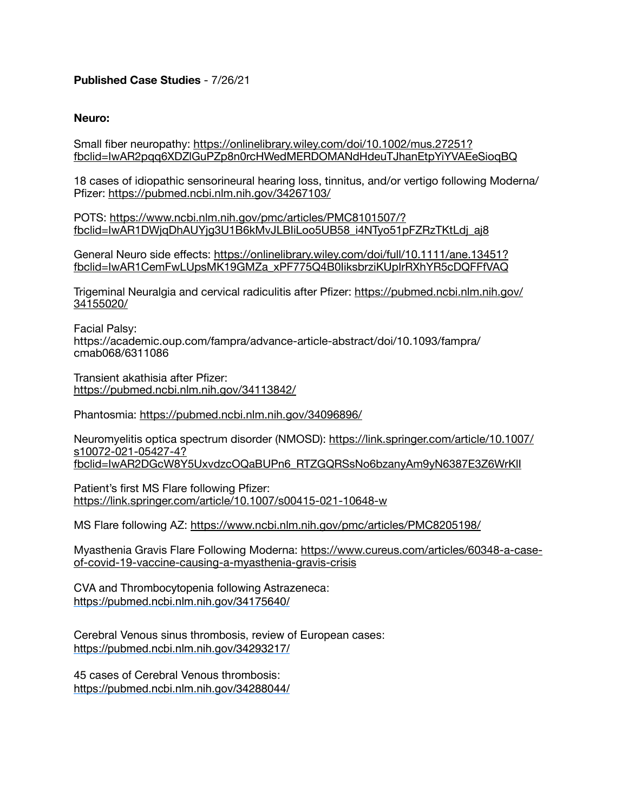# **Published Case Studies** - 7/26/21

### **Neuro:**

Small fiber neuropathy: [https://onlinelibrary.wiley.com/doi/10.1002/mus.27251?](https://onlinelibrary.wiley.com/doi/10.1002/mus.27251?fbclid=IwAR2pqq6XDZlGuPZp8n0rcHWedMERDOMANdHdeuTJhanEtpYiYVAEeSioqBQ) [fbclid=IwAR2pqq6XDZlGuPZp8n0rcHWedMERDOMANdHdeuTJhanEtpYiYVAEeSioqBQ](https://onlinelibrary.wiley.com/doi/10.1002/mus.27251?fbclid=IwAR2pqq6XDZlGuPZp8n0rcHWedMERDOMANdHdeuTJhanEtpYiYVAEeSioqBQ)

18 cases of idiopathic sensorineural hearing loss, tinnitus, and/or vertigo following Moderna/ Pfizer: <https://pubmed.ncbi.nlm.nih.gov/34267103/>

POTS: [https://www.ncbi.nlm.nih.gov/pmc/articles/PMC8101507/?](https://www.ncbi.nlm.nih.gov/pmc/articles/PMC8101507/?fbclid=IwAR1DWjqDhAUYjg3U1B6kMvJLBIiLoo5UB58_i4NTyo51pFZRzTKtLdj_aj8) [fbclid=IwAR1DWjqDhAUYjg3U1B6kMvJLBIiLoo5UB58\\_i4NTyo51pFZRzTKtLdj\\_aj8](https://www.ncbi.nlm.nih.gov/pmc/articles/PMC8101507/?fbclid=IwAR1DWjqDhAUYjg3U1B6kMvJLBIiLoo5UB58_i4NTyo51pFZRzTKtLdj_aj8)

General Neuro side effects: [https://onlinelibrary.wiley.com/doi/full/10.1111/ane.13451?](https://onlinelibrary.wiley.com/doi/full/10.1111/ane.13451?fbclid=IwAR1CemFwLUpsMK19GMZa_xPF775Q4B0IiksbrziKUpIrRXhYR5cDQFFfVAQ) [fbclid=IwAR1CemFwLUpsMK19GMZa\\_xPF775Q4B0IiksbrziKUpIrRXhYR5cDQFFfVAQ](https://onlinelibrary.wiley.com/doi/full/10.1111/ane.13451?fbclid=IwAR1CemFwLUpsMK19GMZa_xPF775Q4B0IiksbrziKUpIrRXhYR5cDQFFfVAQ)

Trigeminal Neuralgia and cervical radiculitis after Pfizer: [https://pubmed.ncbi.nlm.nih.gov/](https://pubmed.ncbi.nlm.nih.gov/34155020/) [34155020/](https://pubmed.ncbi.nlm.nih.gov/34155020/)

Facial Palsy: https://academic.oup.com/fampra/advance-article-abstract/doi/10.1093/fampra/ cmab068/6311086

Transient akathisia after Pfizer: <https://pubmed.ncbi.nlm.nih.gov/34113842/>

Phantosmia:<https://pubmed.ncbi.nlm.nih.gov/34096896/>

Neuromyelitis optica spectrum disorder (NMOSD): [https://link.springer.com/article/10.1007/](https://link.springer.com/article/10.1007/s10072-021-05427-4?fbclid=IwAR2DGcW8Y5UxvdzcOQaBUPn6_RTZGQRSsNo6bzanyAm9yN6387E3Z6WrKlI) [s10072-021-05427-4?](https://link.springer.com/article/10.1007/s10072-021-05427-4?fbclid=IwAR2DGcW8Y5UxvdzcOQaBUPn6_RTZGQRSsNo6bzanyAm9yN6387E3Z6WrKlI) [fbclid=IwAR2DGcW8Y5UxvdzcOQaBUPn6\\_RTZGQRSsNo6bzanyAm9yN6387E3Z6WrKlI](https://link.springer.com/article/10.1007/s10072-021-05427-4?fbclid=IwAR2DGcW8Y5UxvdzcOQaBUPn6_RTZGQRSsNo6bzanyAm9yN6387E3Z6WrKlI)

Patient's first MS Flare following Pfizer: <https://link.springer.com/article/10.1007/s00415-021-10648-w>

MS Flare following AZ: <https://www.ncbi.nlm.nih.gov/pmc/articles/PMC8205198/>

Myasthenia Gravis Flare Following Moderna: [https://www.cureus.com/articles/60348-a-case](https://www.cureus.com/articles/60348-a-case-of-covid-19-vaccine-causing-a-myasthenia-gravis-crisis)[of-covid-19-vaccine-causing-a-myasthenia-gravis-crisis](https://www.cureus.com/articles/60348-a-case-of-covid-19-vaccine-causing-a-myasthenia-gravis-crisis)

CVA and Thrombocytopenia following Astrazeneca: https://pubmed.ncbi.nlm.nih.gov/34175640/

Cerebral Venous sinus thrombosis, review of European cases: https://pubmed.ncbi.nlm.nih.gov/34293217/

45 cases of Cerebral Venous thrombosis: https://pubmed.ncbi.nlm.nih.gov/34288044/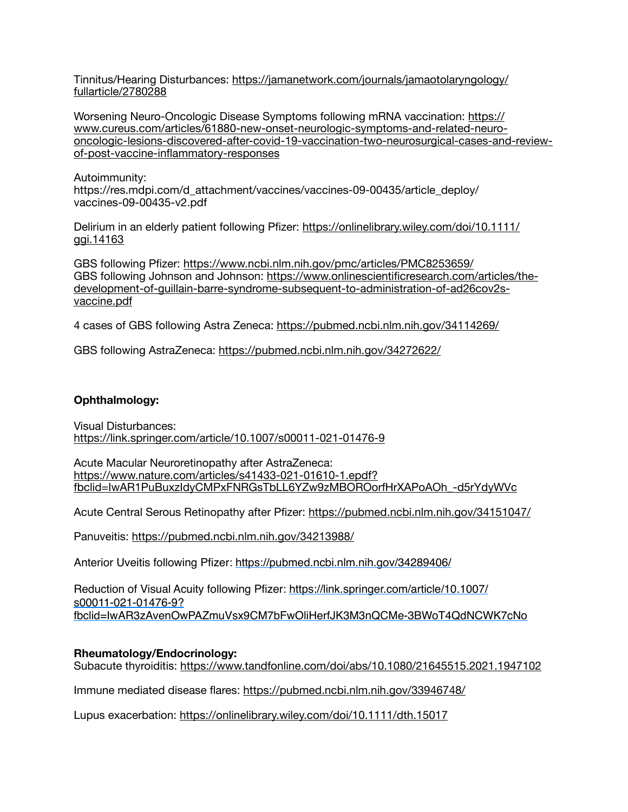Tinnitus/Hearing Disturbances: [https://jamanetwork.com/journals/jamaotolaryngology/](https://jamanetwork.com/journals/jamaotolaryngology/fullarticle/2780288) [fullarticle/2780288](https://jamanetwork.com/journals/jamaotolaryngology/fullarticle/2780288)

Worsening Neuro-Oncologic Disease Symptoms following mRNA vaccination: [https://](https://www.cureus.com/articles/61880-new-onset-neurologic-symptoms-and-related-neuro-oncologic-lesions-discovered-after-covid-19-vaccination-two-neurosurgical-cases-and-review-of-post-vaccine-inflammatory-responses) [www.cureus.com/articles/61880-new-onset-neurologic-symptoms-and-related-neuro](https://www.cureus.com/articles/61880-new-onset-neurologic-symptoms-and-related-neuro-oncologic-lesions-discovered-after-covid-19-vaccination-two-neurosurgical-cases-and-review-of-post-vaccine-inflammatory-responses)[oncologic-lesions-discovered-after-covid-19-vaccination-two-neurosurgical-cases-and-review](https://www.cureus.com/articles/61880-new-onset-neurologic-symptoms-and-related-neuro-oncologic-lesions-discovered-after-covid-19-vaccination-two-neurosurgical-cases-and-review-of-post-vaccine-inflammatory-responses)[of-post-vaccine-inflammatory-responses](https://www.cureus.com/articles/61880-new-onset-neurologic-symptoms-and-related-neuro-oncologic-lesions-discovered-after-covid-19-vaccination-two-neurosurgical-cases-and-review-of-post-vaccine-inflammatory-responses)

Autoimmunity: https://res.mdpi.com/d\_attachment/vaccines/vaccines-09-00435/article\_deploy/ vaccines-09-00435-v2.pdf

Delirium in an elderly patient following Pfizer: [https://onlinelibrary.wiley.com/doi/10.1111/](https://onlinelibrary.wiley.com/doi/10.1111/ggi.14163) [ggi.14163](https://onlinelibrary.wiley.com/doi/10.1111/ggi.14163)

GBS following Pfizer: <https://www.ncbi.nlm.nih.gov/pmc/articles/PMC8253659/> GBS following Johnson and Johnson: [https://www.onlinescientificresearch.com/articles/the](https://www.onlinescientificresearch.com/articles/the-development-of-guillain-barre-syndrome-subsequent-to-administration-of-ad26cov2s-vaccine.pdf)[development-of-guillain-barre-syndrome-subsequent-to-administration-of-ad26cov2s](https://www.onlinescientificresearch.com/articles/the-development-of-guillain-barre-syndrome-subsequent-to-administration-of-ad26cov2s-vaccine.pdf)[vaccine.pdf](https://www.onlinescientificresearch.com/articles/the-development-of-guillain-barre-syndrome-subsequent-to-administration-of-ad26cov2s-vaccine.pdf)

4 cases of GBS following Astra Zeneca: <https://pubmed.ncbi.nlm.nih.gov/34114269/>

GBS following AstraZeneca:<https://pubmed.ncbi.nlm.nih.gov/34272622/>

### **Ophthalmology:**

Visual Disturbances: <https://link.springer.com/article/10.1007/s00011-021-01476-9>

Acute Macular Neuroretinopathy after AstraZeneca: [https://www.nature.com/articles/s41433-021-01610-1.epdf?](https://www.nature.com/articles/s41433-021-01610-1.epdf?fbclid=IwAR1PuBuxzIdyCMPxFNRGsTbLL6YZw9zMBOROorfHrXAPoAOh_-d5rYdyWVc) [fbclid=IwAR1PuBuxzIdyCMPxFNRGsTbLL6YZw9zMBOROorfHrXAPoAOh\\_-d5rYdyWVc](https://www.nature.com/articles/s41433-021-01610-1.epdf?fbclid=IwAR1PuBuxzIdyCMPxFNRGsTbLL6YZw9zMBOROorfHrXAPoAOh_-d5rYdyWVc)

Acute Central Serous Retinopathy after Pfizer: <https://pubmed.ncbi.nlm.nih.gov/34151047/>

Panuveitis: <https://pubmed.ncbi.nlm.nih.gov/34213988/>

Anterior Uveitis following Pfizer: https://pubmed.ncbi.nlm.nih.gov/34289406/

Reduction of Visual Acuity following Pfizer: https://link.springer.com/article/10.1007/ s00011-021-01476-9? fbclid=IwAR3zAvenOwPAZmuVsx9CM7bFwOliHerfJK3M3nQCMe-3BWoT4QdNCWK7cNo

### **Rheumatology/Endocrinology:**

Subacute thyroiditis: <https://www.tandfonline.com/doi/abs/10.1080/21645515.2021.1947102>

Immune mediated disease flares:<https://pubmed.ncbi.nlm.nih.gov/33946748/>

Lupus exacerbation:<https://onlinelibrary.wiley.com/doi/10.1111/dth.15017>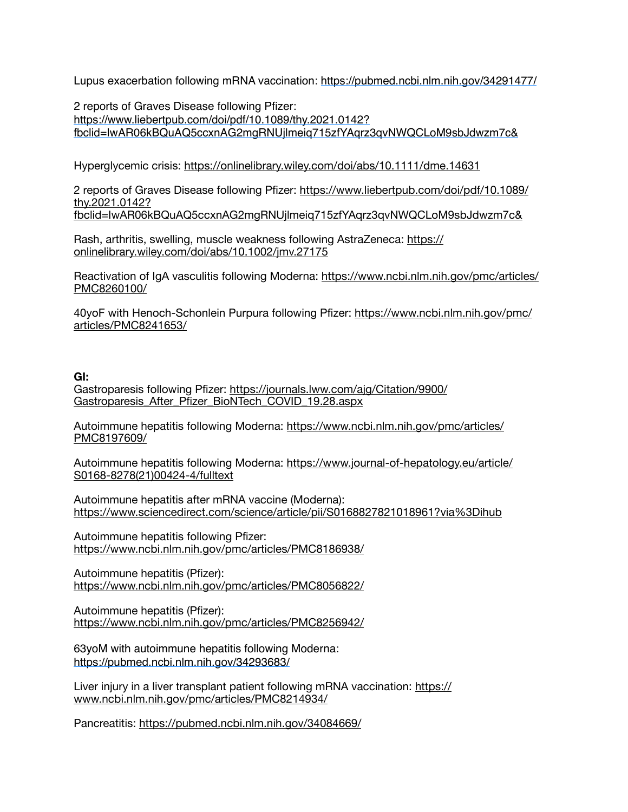Lupus exacerbation following mRNA vaccination: https://pubmed.ncbi.nlm.nih.gov/34291477/

2 reports of Graves Disease following Pfizer: [https://www.liebertpub.com/doi/pdf/10.1089/thy.2021.0142?](https://www.liebertpub.com/doi/pdf/10.1089/thy.2021.0142?fbclid=IwAR06kBQuAQ5ccxnAG2mgRNUjlmeiq715zfYAqrz3qvNWQCLoM9sbJdwzm7c&) [fbclid=IwAR06kBQuAQ5ccxnAG2mgRNUjlmeiq715zfYAqrz3qvNWQCLoM9sbJdwzm7c&](https://www.liebertpub.com/doi/pdf/10.1089/thy.2021.0142?fbclid=IwAR06kBQuAQ5ccxnAG2mgRNUjlmeiq715zfYAqrz3qvNWQCLoM9sbJdwzm7c&) 

Hyperglycemic crisis: <https://onlinelibrary.wiley.com/doi/abs/10.1111/dme.14631>

2 reports of Graves Disease following Pfizer: [https://www.liebertpub.com/doi/pdf/10.1089/](https://www.liebertpub.com/doi/pdf/10.1089/thy.2021.0142?fbclid=IwAR06kBQuAQ5ccxnAG2mgRNUjlmeiq715zfYAqrz3qvNWQCLoM9sbJdwzm7c&) [thy.2021.0142?](https://www.liebertpub.com/doi/pdf/10.1089/thy.2021.0142?fbclid=IwAR06kBQuAQ5ccxnAG2mgRNUjlmeiq715zfYAqrz3qvNWQCLoM9sbJdwzm7c&) [fbclid=IwAR06kBQuAQ5ccxnAG2mgRNUjlmeiq715zfYAqrz3qvNWQCLoM9sbJdwzm7c&](https://www.liebertpub.com/doi/pdf/10.1089/thy.2021.0142?fbclid=IwAR06kBQuAQ5ccxnAG2mgRNUjlmeiq715zfYAqrz3qvNWQCLoM9sbJdwzm7c&)

Rash, arthritis, swelling, muscle weakness following AstraZeneca: [https://](https://onlinelibrary.wiley.com/doi/abs/10.1002/jmv.27175) [onlinelibrary.wiley.com/doi/abs/10.1002/jmv.27175](https://onlinelibrary.wiley.com/doi/abs/10.1002/jmv.27175)

Reactivation of IgA vasculitis following Moderna: [https://www.ncbi.nlm.nih.gov/pmc/articles/](https://www.ncbi.nlm.nih.gov/pmc/articles/PMC8260100/) [PMC8260100/](https://www.ncbi.nlm.nih.gov/pmc/articles/PMC8260100/)

40yoF with Henoch-Schonlein Purpura following Pfizer: [https://www.ncbi.nlm.nih.gov/pmc/](https://www.ncbi.nlm.nih.gov/pmc/articles/PMC8241653/) [articles/PMC8241653/](https://www.ncbi.nlm.nih.gov/pmc/articles/PMC8241653/)

## **GI:**

Gastroparesis following Pfizer: [https://journals.lww.com/ajg/Citation/9900/](https://journals.lww.com/ajg/Citation/9900/Gastroparesis_After_Pfizer_BioNTech_COVID_19.28.aspx) Gastroparesis After Pfizer BioNTech COVID 19.28.aspx

Autoimmune hepatitis following Moderna: [https://www.ncbi.nlm.nih.gov/pmc/articles/](https://www.ncbi.nlm.nih.gov/pmc/articles/PMC8197609/) [PMC8197609/](https://www.ncbi.nlm.nih.gov/pmc/articles/PMC8197609/)

Autoimmune hepatitis following Moderna: [https://www.journal-of-hepatology.eu/article/](https://www.journal-of-hepatology.eu/article/S0168-8278(21)00424-4/fulltext) [S0168-8278\(21\)00424-4/fulltext](https://www.journal-of-hepatology.eu/article/S0168-8278(21)00424-4/fulltext)

Autoimmune hepatitis after mRNA vaccine (Moderna): <https://www.sciencedirect.com/science/article/pii/S0168827821018961?via%3Dihub>

Autoimmune hepatitis following Pfizer: <https://www.ncbi.nlm.nih.gov/pmc/articles/PMC8186938/>

Autoimmune hepatitis (Pfizer): <https://www.ncbi.nlm.nih.gov/pmc/articles/PMC8056822/>

Autoimmune hepatitis (Pfizer): <https://www.ncbi.nlm.nih.gov/pmc/articles/PMC8256942/>

63yoM with autoimmune hepatitis following Moderna: https://pubmed.ncbi.nlm.nih.gov/34293683/

Liver injury in a liver transplant patient following mRNA vaccination: [https://](https://www.ncbi.nlm.nih.gov/pmc/articles/PMC8214934/) [www.ncbi.nlm.nih.gov/pmc/articles/PMC8214934/](https://www.ncbi.nlm.nih.gov/pmc/articles/PMC8214934/)

Pancreatitis: <https://pubmed.ncbi.nlm.nih.gov/34084669/>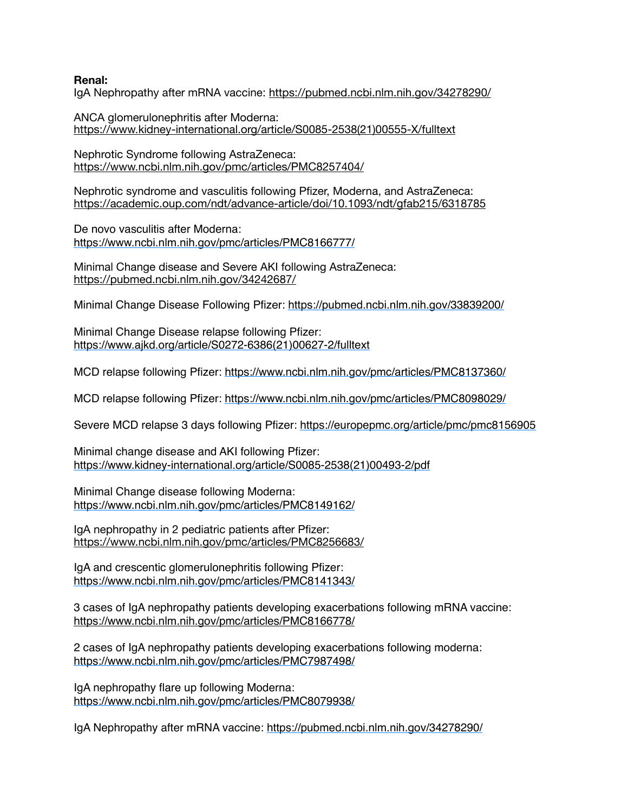### **Renal:**

IgA Nephropathy after mRNA vaccine:<https://pubmed.ncbi.nlm.nih.gov/34278290/>

ANCA glomerulonephritis after Moderna: [https://www.kidney-international.org/article/S0085-2538\(21\)00555-X/fulltext](https://www.kidney-international.org/article/S0085-2538(21)00555-X/fulltext)

Nephrotic Syndrome following AstraZeneca: <https://www.ncbi.nlm.nih.gov/pmc/articles/PMC8257404/>

Nephrotic syndrome and vasculitis following Pfizer, Moderna, and AstraZeneca: <https://academic.oup.com/ndt/advance-article/doi/10.1093/ndt/gfab215/6318785>

De novo vasculitis after Moderna: https://www.ncbi.nlm.nih.gov/pmc/articles/PMC8166777/

Minimal Change disease and Severe AKI following AstraZeneca: <https://pubmed.ncbi.nlm.nih.gov/34242687/>

Minimal Change Disease Following Pfizer:<https://pubmed.ncbi.nlm.nih.gov/33839200/>

Minimal Change Disease relapse following Pfizer: https://www.ajkd.org/article/S0272-6386(21)00627-2/fulltext

MCD relapse following Pfizer: https://www.ncbi.nlm.nih.gov/pmc/articles/PMC8137360/

MCD relapse following Pfizer: https://www.ncbi.nlm.nih.gov/pmc/articles/PMC8098029/

Severe MCD relapse 3 days following Pfizer: <https://europepmc.org/article/pmc/pmc8156905>

Minimal change disease and AKI following Pfizer: https://www.kidney-international.org/article/S0085-2538(21)00493-2/pdf

Minimal Change disease following Moderna: https://www.ncbi.nlm.nih.gov/pmc/articles/PMC8149162/

IgA nephropathy in 2 pediatric patients after Pfizer: <https://www.ncbi.nlm.nih.gov/pmc/articles/PMC8256683/>

IgA and crescentic glomerulonephritis following Pfizer: <https://www.ncbi.nlm.nih.gov/pmc/articles/PMC8141343/>

3 cases of IgA nephropathy patients developing exacerbations following mRNA vaccine: <https://www.ncbi.nlm.nih.gov/pmc/articles/PMC8166778/>

2 cases of IgA nephropathy patients developing exacerbations following moderna: <https://www.ncbi.nlm.nih.gov/pmc/articles/PMC7987498/>

IgA nephropathy flare up following Moderna: <https://www.ncbi.nlm.nih.gov/pmc/articles/PMC8079938/>

IgA Nephropathy after mRNA vaccine: https://pubmed.ncbi.nlm.nih.gov/34278290/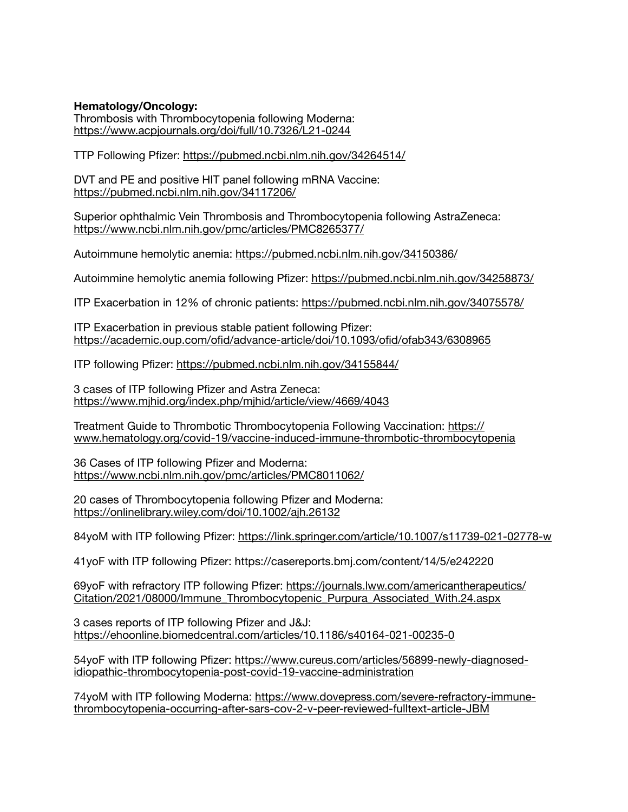**Hematology/Oncology:** 

Thrombosis with Thrombocytopenia following Moderna: <https://www.acpjournals.org/doi/full/10.7326/L21-0244>

TTP Following Pfizer: <https://pubmed.ncbi.nlm.nih.gov/34264514/>

DVT and PE and positive HIT panel following mRNA Vaccine: <https://pubmed.ncbi.nlm.nih.gov/34117206/>

Superior ophthalmic Vein Thrombosis and Thrombocytopenia following AstraZeneca: <https://www.ncbi.nlm.nih.gov/pmc/articles/PMC8265377/>

Autoimmune hemolytic anemia: <https://pubmed.ncbi.nlm.nih.gov/34150386/>

Autoimmine hemolytic anemia following Pfizer: <https://pubmed.ncbi.nlm.nih.gov/34258873/>

ITP Exacerbation in 12% of chronic patients:<https://pubmed.ncbi.nlm.nih.gov/34075578/>

ITP Exacerbation in previous stable patient following Pfizer: <https://academic.oup.com/ofid/advance-article/doi/10.1093/ofid/ofab343/6308965>

ITP following Pfizer:<https://pubmed.ncbi.nlm.nih.gov/34155844/>

3 cases of ITP following Pfizer and Astra Zeneca: <https://www.mjhid.org/index.php/mjhid/article/view/4669/4043>

Treatment Guide to Thrombotic Thrombocytopenia Following Vaccination: [https://](https://www.hematology.org/covid-19/vaccine-induced-immune-thrombotic-thrombocytopenia) [www.hematology.org/covid-19/vaccine-induced-immune-thrombotic-thrombocytopenia](https://www.hematology.org/covid-19/vaccine-induced-immune-thrombotic-thrombocytopenia)

36 Cases of ITP following Pfizer and Moderna: <https://www.ncbi.nlm.nih.gov/pmc/articles/PMC8011062/>

20 cases of Thrombocytopenia following Pfizer and Moderna: <https://onlinelibrary.wiley.com/doi/10.1002/ajh.26132>

84yoM with ITP following Pfizer:<https://link.springer.com/article/10.1007/s11739-021-02778-w>

41yoF with ITP following Pfizer: https://casereports.bmj.com/content/14/5/e242220

69yoF with refractory ITP following Pfizer: [https://journals.lww.com/americantherapeutics/](https://journals.lww.com/americantherapeutics/Citation/2021/08000/Immune_Thrombocytopenic_Purpura_Associated_With.24.aspx) [Citation/2021/08000/Immune\\_Thrombocytopenic\\_Purpura\\_Associated\\_With.24.aspx](https://journals.lww.com/americantherapeutics/Citation/2021/08000/Immune_Thrombocytopenic_Purpura_Associated_With.24.aspx)

3 cases reports of ITP following Pfizer and J&J: <https://ehoonline.biomedcentral.com/articles/10.1186/s40164-021-00235-0>

54yoF with ITP following Pfizer: [https://www.cureus.com/articles/56899-newly-diagnosed](https://www.cureus.com/articles/56899-newly-diagnosed-idiopathic-thrombocytopenia-post-covid-19-vaccine-administration)[idiopathic-thrombocytopenia-post-covid-19-vaccine-administration](https://www.cureus.com/articles/56899-newly-diagnosed-idiopathic-thrombocytopenia-post-covid-19-vaccine-administration)

74yoM with ITP following Moderna: [https://www.dovepress.com/severe-refractory-immune](https://www.dovepress.com/severe-refractory-immune-thrombocytopenia-occurring-after-sars-cov-2-v-peer-reviewed-fulltext-article-JBM)[thrombocytopenia-occurring-after-sars-cov-2-v-peer-reviewed-fulltext-article-JBM](https://www.dovepress.com/severe-refractory-immune-thrombocytopenia-occurring-after-sars-cov-2-v-peer-reviewed-fulltext-article-JBM)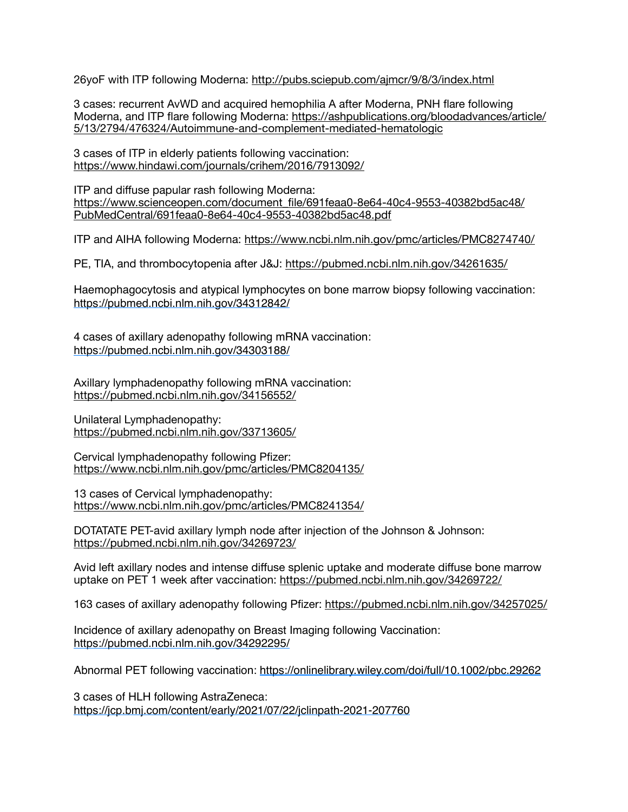26yoF with ITP following Moderna: <http://pubs.sciepub.com/ajmcr/9/8/3/index.html>

3 cases: recurrent AvWD and acquired hemophilia A after Moderna, PNH flare following Moderna, and ITP flare following Moderna: [https://ashpublications.org/bloodadvances/article/](https://ashpublications.org/bloodadvances/article/5/13/2794/476324/Autoimmune-and-complement-mediated-hematologic) [5/13/2794/476324/Autoimmune-and-complement-mediated-hematologic](https://ashpublications.org/bloodadvances/article/5/13/2794/476324/Autoimmune-and-complement-mediated-hematologic)

3 cases of ITP in elderly patients following vaccination: <https://www.hindawi.com/journals/crihem/2016/7913092/>

ITP and diffuse papular rash following Moderna: [https://www.scienceopen.com/document\\_file/691feaa0-8e64-40c4-9553-40382bd5ac48/](https://www.scienceopen.com/document_file/691feaa0-8e64-40c4-9553-40382bd5ac48/PubMedCentral/691feaa0-8e64-40c4-9553-40382bd5ac48.pdf) [PubMedCentral/691feaa0-8e64-40c4-9553-40382bd5ac48.pdf](https://www.scienceopen.com/document_file/691feaa0-8e64-40c4-9553-40382bd5ac48/PubMedCentral/691feaa0-8e64-40c4-9553-40382bd5ac48.pdf)

ITP and AIHA following Moderna:<https://www.ncbi.nlm.nih.gov/pmc/articles/PMC8274740/>

PE, TIA, and thrombocytopenia after J&J:<https://pubmed.ncbi.nlm.nih.gov/34261635/>

Haemophagocytosis and atypical lymphocytes on bone marrow biopsy following vaccination: https://pubmed.ncbi.nlm.nih.gov/34312842/

4 cases of axillary adenopathy following mRNA vaccination: https://pubmed.ncbi.nlm.nih.gov/34303188/

Axillary lymphadenopathy following mRNA vaccination: <https://pubmed.ncbi.nlm.nih.gov/34156552/>

Unilateral Lymphadenopathy: <https://pubmed.ncbi.nlm.nih.gov/33713605/>

Cervical lymphadenopathy following Pfizer: <https://www.ncbi.nlm.nih.gov/pmc/articles/PMC8204135/>

13 cases of Cervical lymphadenopathy: <https://www.ncbi.nlm.nih.gov/pmc/articles/PMC8241354/>

DOTATATE PET-avid axillary lymph node after injection of the Johnson & Johnson: <https://pubmed.ncbi.nlm.nih.gov/34269723/>

Avid left axillary nodes and intense diffuse splenic uptake and moderate diffuse bone marrow uptake on PET 1 week after vaccination: <https://pubmed.ncbi.nlm.nih.gov/34269722/>

163 cases of axillary adenopathy following Pfizer:<https://pubmed.ncbi.nlm.nih.gov/34257025/>

Incidence of axillary adenopathy on Breast Imaging following Vaccination: https://pubmed.ncbi.nlm.nih.gov/34292295/

Abnormal PET following vaccination: https://onlinelibrary.wiley.com/doi/full/10.1002/pbc.29262

3 cases of HLH following AstraZeneca: https://jcp.bmj.com/content/early/2021/07/22/jclinpath-2021-207760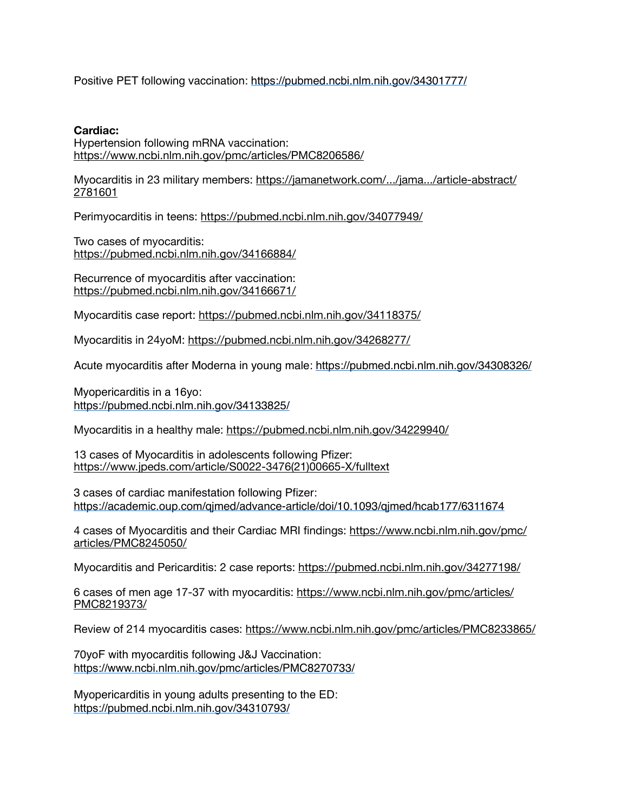Positive PET following vaccination: https://pubmed.ncbi.nlm.nih.gov/34301777/

### **Cardiac:**

Hypertension following mRNA vaccination: <https://www.ncbi.nlm.nih.gov/pmc/articles/PMC8206586/>

Myocarditis in 23 military members: [https://jamanetwork.com/.../jama.../article-abstract/](https://jamanetwork.com/.../jama.../article-abstract/2781601) [2781601](https://jamanetwork.com/.../jama.../article-abstract/2781601)

Perimyocarditis in teens: <https://pubmed.ncbi.nlm.nih.gov/34077949/>

Two cases of myocarditis: <https://pubmed.ncbi.nlm.nih.gov/34166884/>

Recurrence of myocarditis after vaccination: <https://pubmed.ncbi.nlm.nih.gov/34166671/>

Myocarditis case report: <https://pubmed.ncbi.nlm.nih.gov/34118375/>

Myocarditis in 24yoM:<https://pubmed.ncbi.nlm.nih.gov/34268277/>

Acute myocarditis after Moderna in young male: https://pubmed.ncbi.nlm.nih.gov/34308326/

Myopericarditis in a 16yo: https://pubmed.ncbi.nlm.nih.gov/34133825/

Myocarditis in a healthy male: <https://pubmed.ncbi.nlm.nih.gov/34229940/>

13 cases of Myocarditis in adolescents following Pfizer: [https://www.jpeds.com/article/S0022-3476\(21\)00665-X/fulltext](https://www.jpeds.com/article/S0022-3476(21)00665-X/fulltext)

3 cases of cardiac manifestation following Pfizer: https://academic.oup.com/qjmed/advance-article/doi/10.1093/qjmed/hcab177/6311674

4 cases of Myocarditis and their Cardiac MRI findings: [https://www.ncbi.nlm.nih.gov/pmc/](https://www.ncbi.nlm.nih.gov/pmc/articles/PMC8245050/) [articles/PMC8245050/](https://www.ncbi.nlm.nih.gov/pmc/articles/PMC8245050/)

Myocarditis and Pericarditis: 2 case reports:<https://pubmed.ncbi.nlm.nih.gov/34277198/>

6 cases of men age 17-37 with myocarditis: [https://www.ncbi.nlm.nih.gov/pmc/articles/](https://www.ncbi.nlm.nih.gov/pmc/articles/PMC8219373/) [PMC8219373/](https://www.ncbi.nlm.nih.gov/pmc/articles/PMC8219373/)

Review of 214 myocarditis cases:<https://www.ncbi.nlm.nih.gov/pmc/articles/PMC8233865/>

70yoF with myocarditis following J&J Vaccination: https://www.ncbi.nlm.nih.gov/pmc/articles/PMC8270733/

Myopericarditis in young adults presenting to the ED: https://pubmed.ncbi.nlm.nih.gov/34310793/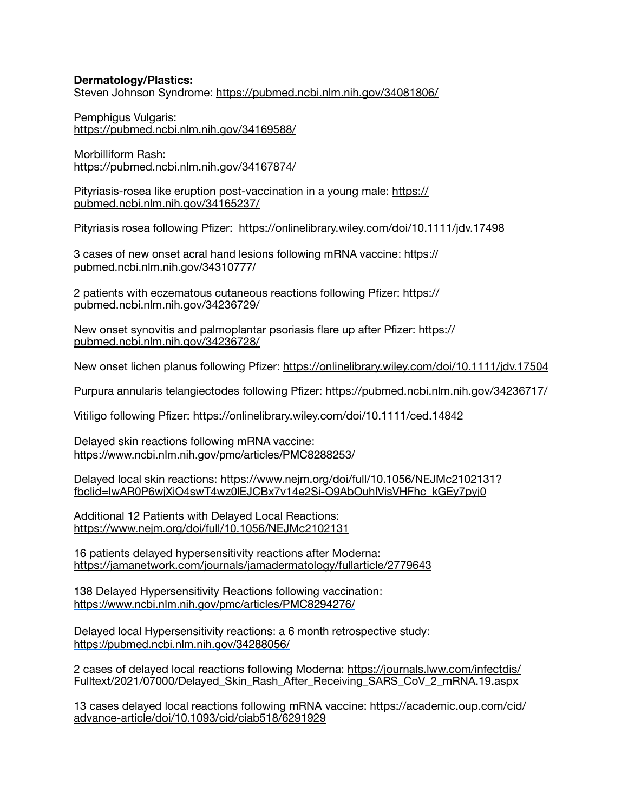## **Dermatology/Plastics:**

Steven Johnson Syndrome: <https://pubmed.ncbi.nlm.nih.gov/34081806/>

Pemphigus Vulgaris: <https://pubmed.ncbi.nlm.nih.gov/34169588/>

Morbilliform Rash: <https://pubmed.ncbi.nlm.nih.gov/34167874/>

Pityriasis-rosea like eruption post-vaccination in a young male: [https://](https://pubmed.ncbi.nlm.nih.gov/34165237/) [pubmed.ncbi.nlm.nih.gov/34165237/](https://pubmed.ncbi.nlm.nih.gov/34165237/)

Pityriasis rosea following Pfizer: <https://onlinelibrary.wiley.com/doi/10.1111/jdv.17498>

3 cases of new onset acral hand lesions following mRNA vaccine: https:// pubmed.ncbi.nlm.nih.gov/34310777/

2 patients with eczematous cutaneous reactions following Pfizer: [https://](https://pubmed.ncbi.nlm.nih.gov/34236729/) [pubmed.ncbi.nlm.nih.gov/34236729/](https://pubmed.ncbi.nlm.nih.gov/34236729/)

New onset synovitis and palmoplantar psoriasis flare up after Pfizer: [https://](https://pubmed.ncbi.nlm.nih.gov/34236728/) [pubmed.ncbi.nlm.nih.gov/34236728/](https://pubmed.ncbi.nlm.nih.gov/34236728/)

New onset lichen planus following Pfizer:<https://onlinelibrary.wiley.com/doi/10.1111/jdv.17504>

Purpura annularis telangiectodes following Pfizer:<https://pubmed.ncbi.nlm.nih.gov/34236717/>

Vitiligo following Pfizer:<https://onlinelibrary.wiley.com/doi/10.1111/ced.14842>

Delayed skin reactions following mRNA vaccine: https://www.ncbi.nlm.nih.gov/pmc/articles/PMC8288253/

Delayed local skin reactions: [https://www.nejm.org/doi/full/10.1056/NEJMc2102131?](https://www.nejm.org/doi/full/10.1056/NEJMc2102131?fbclid=IwAR0P6wjXiO4swT4wz0lEJCBx7v14e2Si-O9AbOuhlVisVHFhc_kGEy7pyj0) [fbclid=IwAR0P6wjXiO4swT4wz0lEJCBx7v14e2Si-O9AbOuhlVisVHFhc\\_kGEy7pyj0](https://www.nejm.org/doi/full/10.1056/NEJMc2102131?fbclid=IwAR0P6wjXiO4swT4wz0lEJCBx7v14e2Si-O9AbOuhlVisVHFhc_kGEy7pyj0)

Additional 12 Patients with Delayed Local Reactions: <https://www.nejm.org/doi/full/10.1056/NEJMc2102131>

16 patients delayed hypersensitivity reactions after Moderna: <https://jamanetwork.com/journals/jamadermatology/fullarticle/2779643>

138 Delayed Hypersensitivity Reactions following vaccination: https://www.ncbi.nlm.nih.gov/pmc/articles/PMC8294276/

Delayed local Hypersensitivity reactions: a 6 month retrospective study: https://pubmed.ncbi.nlm.nih.gov/34288056/

2 cases of delayed local reactions following Moderna: [https://journals.lww.com/infectdis/](https://journals.lww.com/infectdis/Fulltext/2021/07000/Delayed_Skin_Rash_After_Receiving_SARS_CoV_2_mRNA.19.aspx) [Fulltext/2021/07000/Delayed\\_Skin\\_Rash\\_After\\_Receiving\\_SARS\\_CoV\\_2\\_mRNA.19.aspx](https://journals.lww.com/infectdis/Fulltext/2021/07000/Delayed_Skin_Rash_After_Receiving_SARS_CoV_2_mRNA.19.aspx)

13 cases delayed local reactions following mRNA vaccine: [https://academic.oup.com/cid/](https://academic.oup.com/cid/advance-article/doi/10.1093/cid/ciab518/6291929) [advance-article/doi/10.1093/cid/ciab518/6291929](https://academic.oup.com/cid/advance-article/doi/10.1093/cid/ciab518/6291929)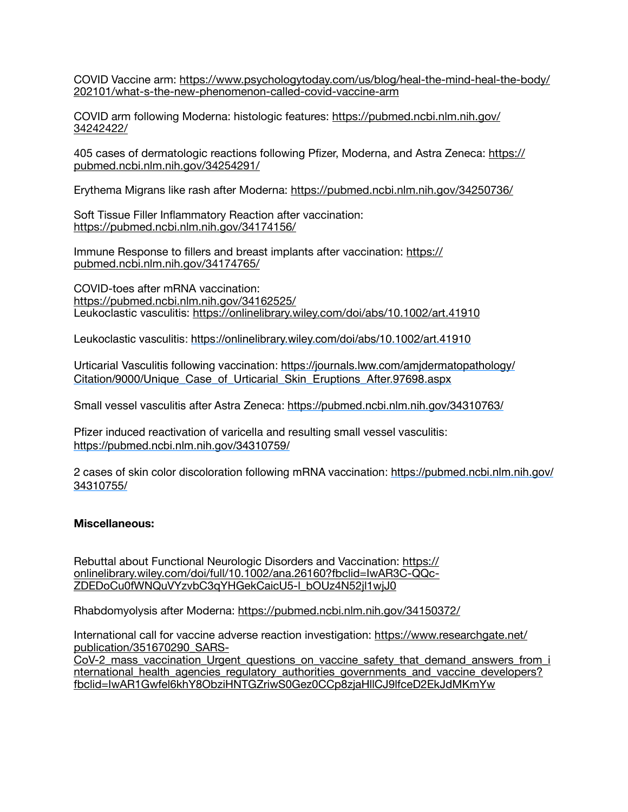COVID Vaccine arm: [https://www.psychologytoday.com/us/blog/heal-the-mind-heal-the-body/](https://www.psychologytoday.com/us/blog/heal-the-mind-heal-the-body/202101/what-s-the-new-phenomenon-called-covid-vaccine-arm) [202101/what-s-the-new-phenomenon-called-covid-vaccine-arm](https://www.psychologytoday.com/us/blog/heal-the-mind-heal-the-body/202101/what-s-the-new-phenomenon-called-covid-vaccine-arm)

COVID arm following Moderna: histologic features: [https://pubmed.ncbi.nlm.nih.gov/](https://pubmed.ncbi.nlm.nih.gov/34242422/) [34242422/](https://pubmed.ncbi.nlm.nih.gov/34242422/)

405 cases of dermatologic reactions following Pfizer, Moderna, and Astra Zeneca: [https://](https://pubmed.ncbi.nlm.nih.gov/34254291/) [pubmed.ncbi.nlm.nih.gov/34254291/](https://pubmed.ncbi.nlm.nih.gov/34254291/)

Erythema Migrans like rash after Moderna: <https://pubmed.ncbi.nlm.nih.gov/34250736/>

Soft Tissue Filler Inflammatory Reaction after vaccination: <https://pubmed.ncbi.nlm.nih.gov/34174156/>

Immune Response to fillers and breast implants after vaccination: [https://](https://pubmed.ncbi.nlm.nih.gov/34174765/) [pubmed.ncbi.nlm.nih.gov/34174765/](https://pubmed.ncbi.nlm.nih.gov/34174765/)

COVID-toes after mRNA vaccination: <https://pubmed.ncbi.nlm.nih.gov/34162525/> Leukoclastic vasculitis:<https://onlinelibrary.wiley.com/doi/abs/10.1002/art.41910>

Leukoclastic vasculitis:<https://onlinelibrary.wiley.com/doi/abs/10.1002/art.41910>

Urticarial Vasculitis following vaccination: https://journals.lww.com/amjdermatopathology/ Citation/9000/Unique\_Case\_of\_Urticarial\_Skin\_Eruptions\_After.97698.aspx

Small vessel vasculitis after Astra Zeneca: https://pubmed.ncbi.nlm.nih.gov/34310763/

Pfizer induced reactivation of varicella and resulting small vessel vasculitis: https://pubmed.ncbi.nlm.nih.gov/34310759/

2 cases of skin color discoloration following mRNA vaccination: https://pubmed.ncbi.nlm.nih.gov/ 34310755/

### **Miscellaneous:**

Rebuttal about Functional Neurologic Disorders and Vaccination: [https://](https://onlinelibrary.wiley.com/doi/full/10.1002/ana.26160?fbclid=IwAR3C-QQc-ZDEDoCu0fWNQuVYzvbC3qYHGekCaicU5-l_bOUz4N52jl1wjJ0) [onlinelibrary.wiley.com/doi/full/10.1002/ana.26160?fbclid=IwAR3C-QQc-](https://onlinelibrary.wiley.com/doi/full/10.1002/ana.26160?fbclid=IwAR3C-QQc-ZDEDoCu0fWNQuVYzvbC3qYHGekCaicU5-l_bOUz4N52jl1wjJ0)[ZDEDoCu0fWNQuVYzvbC3qYHGekCaicU5-l\\_bOUz4N52jl1wjJ0](https://onlinelibrary.wiley.com/doi/full/10.1002/ana.26160?fbclid=IwAR3C-QQc-ZDEDoCu0fWNQuVYzvbC3qYHGekCaicU5-l_bOUz4N52jl1wjJ0)

Rhabdomyolysis after Moderna:<https://pubmed.ncbi.nlm.nih.gov/34150372/>

International call for vaccine adverse reaction investigation: [https://www.researchgate.net/](https://www.researchgate.net/publication/351670290_SARS-CoV-2_mass_vaccination_Urgent_questions_on_vaccine_safety_that_demand_answers_from_international_health_agencies_regulatory_authorities_governments_and_vaccine_developers?fbclid=IwAR1Gwfel6khY8ObziHNTGZriwS0Gez0CCp8zjaHllCJ9lfceD2EkJdMKmYw) [publication/351670290\\_SARS-](https://www.researchgate.net/publication/351670290_SARS-CoV-2_mass_vaccination_Urgent_questions_on_vaccine_safety_that_demand_answers_from_international_health_agencies_regulatory_authorities_governments_and_vaccine_developers?fbclid=IwAR1Gwfel6khY8ObziHNTGZriwS0Gez0CCp8zjaHllCJ9lfceD2EkJdMKmYw)

[CoV-2\\_mass\\_vaccination\\_Urgent\\_questions\\_on\\_vaccine\\_safety\\_that\\_demand\\_answers\\_from\\_i](https://www.researchgate.net/publication/351670290_SARS-CoV-2_mass_vaccination_Urgent_questions_on_vaccine_safety_that_demand_answers_from_international_health_agencies_regulatory_authorities_governments_and_vaccine_developers?fbclid=IwAR1Gwfel6khY8ObziHNTGZriwS0Gez0CCp8zjaHllCJ9lfceD2EkJdMKmYw) [nternational\\_health\\_agencies\\_regulatory\\_authorities\\_governments\\_and\\_vaccine\\_developers?](https://www.researchgate.net/publication/351670290_SARS-CoV-2_mass_vaccination_Urgent_questions_on_vaccine_safety_that_demand_answers_from_international_health_agencies_regulatory_authorities_governments_and_vaccine_developers?fbclid=IwAR1Gwfel6khY8ObziHNTGZriwS0Gez0CCp8zjaHllCJ9lfceD2EkJdMKmYw) [fbclid=IwAR1Gwfel6khY8ObziHNTGZriwS0Gez0CCp8zjaHllCJ9lfceD2EkJdMKmYw](https://www.researchgate.net/publication/351670290_SARS-CoV-2_mass_vaccination_Urgent_questions_on_vaccine_safety_that_demand_answers_from_international_health_agencies_regulatory_authorities_governments_and_vaccine_developers?fbclid=IwAR1Gwfel6khY8ObziHNTGZriwS0Gez0CCp8zjaHllCJ9lfceD2EkJdMKmYw)